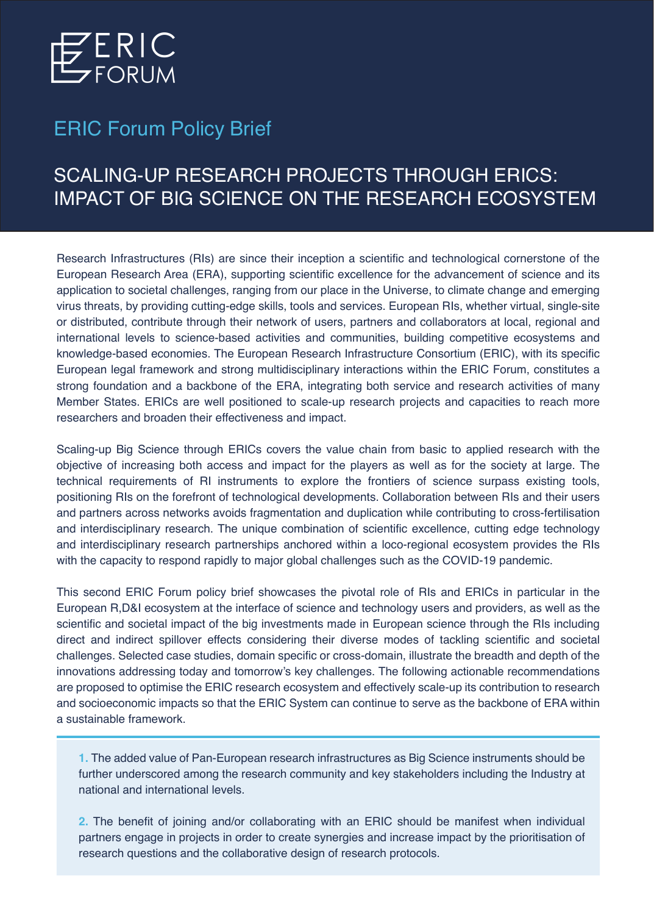

## ERIC Forum Policy Brief

## SCALING-UP RESEARCH PROJECTS THROUGH ERICS: IMPACT OF BIG SCIENCE ON THE RESEARCH ECOSYSTEM

Research Infrastructures (RIs) are since their inception a scientific and technological cornerstone of the European Research Area (ERA), supporting scientific excellence for the advancement of science and its application to societal challenges, ranging from our place in the Universe, to climate change and emerging virus threats, by providing cutting-edge skills, tools and services. European RIs, whether virtual, single-site or distributed, contribute through their network of users, partners and collaborators at local, regional and international levels to science-based activities and communities, building competitive ecosystems and knowledge-based economies. The European Research Infrastructure Consortium (ERIC), with its specific European legal framework and strong multidisciplinary interactions within the ERIC Forum, constitutes a strong foundation and a backbone of the ERA, integrating both service and research activities of many Member States. ERICs are well positioned to scale-up research projects and capacities to reach more researchers and broaden their effectiveness and impact.

Scaling-up Big Science through ERICs covers the value chain from basic to applied research with the objective of increasing both access and impact for the players as well as for the society at large. The technical requirements of RI instruments to explore the frontiers of science surpass existing tools, positioning RIs on the forefront of technological developments. Collaboration between RIs and their users and partners across networks avoids fragmentation and duplication while contributing to cross-fertilisation and interdisciplinary research. The unique combination of scientific excellence, cutting edge technology and interdisciplinary research partnerships anchored within a loco-regional ecosystem provides the RIs with the capacity to respond rapidly to major global challenges such as the COVID-19 pandemic.

This second ERIC Forum policy brief showcases the pivotal role of RIs and ERICs in particular in the European R,D&I ecosystem at the interface of science and technology users and providers, as well as the scientific and societal impact of the big investments made in European science through the RIs including direct and indirect spillover effects considering their diverse modes of tackling scientific and societal challenges. Selected case studies, domain specific or cross-domain, illustrate the breadth and depth of the innovations addressing today and tomorrow's key challenges. The following actionable recommendations are proposed to optimise the ERIC research ecosystem and effectively scale-up its contribution to research and socioeconomic impacts so that the ERIC System can continue to serve as the backbone of ERA within a sustainable framework.

**1.** The added value of Pan-European research infrastructures as Big Science instruments should be further underscored among the research community and key stakeholders including the Industry at national and international levels.

**2.** The benefit of joining and/or collaborating with an ERIC should be manifest when individual partners engage in projects in order to create synergies and increase impact by the prioritisation of research questions and the collaborative design of research protocols.